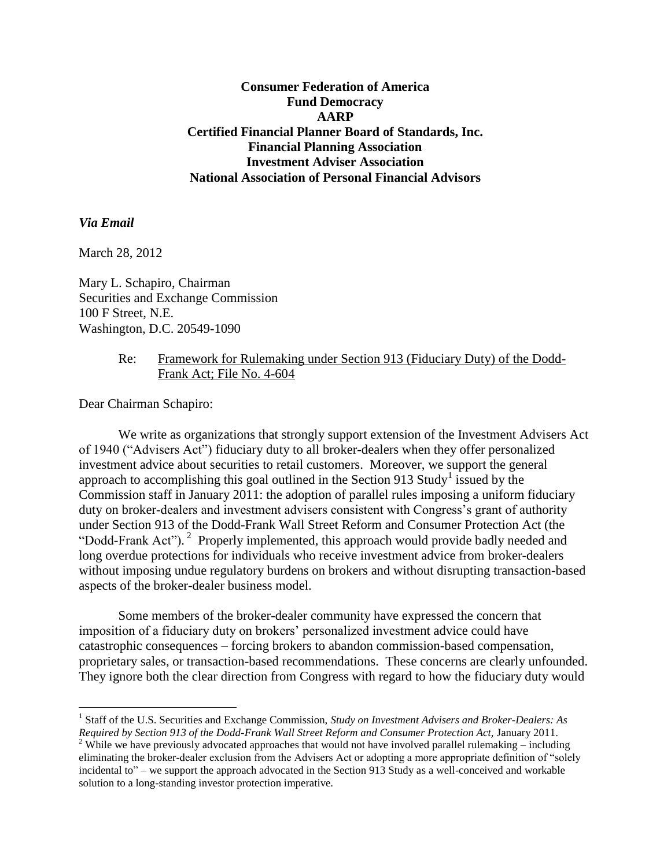**Consumer Federation of America Fund Democracy AARP Certified Financial Planner Board of Standards, Inc. Financial Planning Association Investment Adviser Association National Association of Personal Financial Advisors**

## *Via Email*

 $\overline{a}$ 

March 28, 2012

Mary L. Schapiro, Chairman Securities and Exchange Commission 100 F Street, N.E. Washington, D.C. 20549-1090

### Re: Framework for Rulemaking under Section 913 (Fiduciary Duty) of the Dodd-Frank Act; File No. 4-604

Dear Chairman Schapiro:

We write as organizations that strongly support extension of the Investment Advisers Act of 1940 ("Advisers Act") fiduciary duty to all broker-dealers when they offer personalized investment advice about securities to retail customers. Moreover, we support the general approach to accomplishing this goal outlined in the Section 913 Study<sup>1</sup> issued by the Commission staff in January 2011: the adoption of parallel rules imposing a uniform fiduciary duty on broker-dealers and investment advisers consistent with Congress's grant of authority under Section 913 of the Dodd-Frank Wall Street Reform and Consumer Protection Act (the "Dodd-Frank Act").<sup>2</sup> Properly implemented, this approach would provide badly needed and long overdue protections for individuals who receive investment advice from broker-dealers without imposing undue regulatory burdens on brokers and without disrupting transaction-based aspects of the broker-dealer business model.

Some members of the broker-dealer community have expressed the concern that imposition of a fiduciary duty on brokers' personalized investment advice could have catastrophic consequences – forcing brokers to abandon commission-based compensation, proprietary sales, or transaction-based recommendations. These concerns are clearly unfounded. They ignore both the clear direction from Congress with regard to how the fiduciary duty would

<sup>&</sup>lt;sup>1</sup> Staff of the U.S. Securities and Exchange Commission, *Study on Investment Advisers and Broker-Dealers: As Required by Section 913 of the Dodd-Frank Wall Street Reform and Consumer Protection Act,* January 2011.

<sup>&</sup>lt;sup>2</sup> While we have previously advocated approaches that would not have involved parallel rulemaking – including eliminating the broker-dealer exclusion from the Advisers Act or adopting a more appropriate definition of "solely incidental to" – we support the approach advocated in the Section 913 Study as a well-conceived and workable solution to a long-standing investor protection imperative.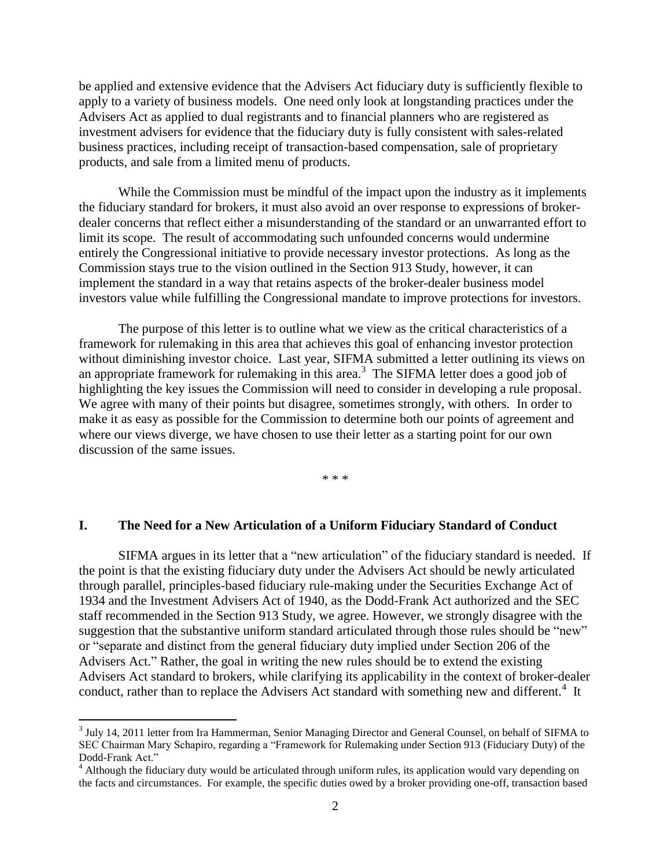be applied and extensive evidence that the Advisers Act fiduciary duty is sufficiently flexible to apply to a variety of business models. One need only look at longstanding practices under the Advisers Act as applied to dual registrants and to financial planners who are registered as investment advisers for evidence that the fiduciary duty is fully consistent with sales-related business practices, including receipt of transaction-based compensation, sale of proprietary products, and sale from a limited menu of products.

While the Commission must be mindful of the impact upon the industry as it implements the fiduciary standard for brokers, it must also avoid an over response to expressions of brokerdealer concerns that reflect either a misunderstanding of the standard or an unwarranted effort to limit its scope. The result of accommodating such unfounded concerns would undermine entirely the Congressional initiative to provide necessary investor protections. As long as the Commission stays true to the vision outlined in the Section 913 Study, however, it can implement the standard in a way that retains aspects of the broker-dealer business model investors value while fulfilling the Congressional mandate to improve protections for investors.

The purpose of this letter is to outline what we view as the critical characteristics of a framework for rulemaking in this area that achieves this goal of enhancing investor protection without diminishing investor choice. Last year, SIFMA submitted a letter outlining its views on an appropriate framework for rulemaking in this area. 3 The SIFMA letter does a good job of highlighting the key issues the Commission will need to consider in developing a rule proposal. We agree with many of their points but disagree, sometimes strongly, with others. In order to make it as easy as possible for the Commission to determine both our points of agreement and where our views diverge, we have chosen to use their letter as a starting point for our own discussion of the same issues.

\* \* \*

### **I. The Need for a New Articulation of a Uniform Fiduciary Standard of Conduct**

SIFMA argues in its letter that a "new articulation" of the fiduciary standard is needed. If the point is that the existing fiduciary duty under the Advisers Act should be newly articulated through parallel, principles-based fiduciary rule-making under the Securities Exchange Act of 1934 and the Investment Advisers Act of 1940, as the Dodd-Frank Act authorized and the SEC staff recommended in the Section 913 Study, we agree. However, we strongly disagree with the suggestion that the substantive uniform standard articulated through those rules should be "new" or "separate and distinct from the general fiduciary duty implied under Section 206 of the Advisers Act." Rather, the goal in writing the new rules should be to extend the existing Advisers Act standard to brokers, while clarifying its applicability in the context of broker-dealer conduct, rather than to replace the Advisers Act standard with something new and different.<sup>4</sup> It

<sup>&</sup>lt;sup>3</sup> July 14, 2011 letter from Ira Hammerman, Senior Managing Director and General Counsel, on behalf of SIFMA to SEC Chairman Mary Schapiro, regarding a "Framework for Rulemaking under Section 913 (Fiduciary Duty) of the Dodd-Frank Act."

<sup>&</sup>lt;sup>4</sup> Although the fiduciary duty would be articulated through uniform rules, its application would vary depending on the facts and circumstances. For example, the specific duties owed by a broker providing one-off, transaction based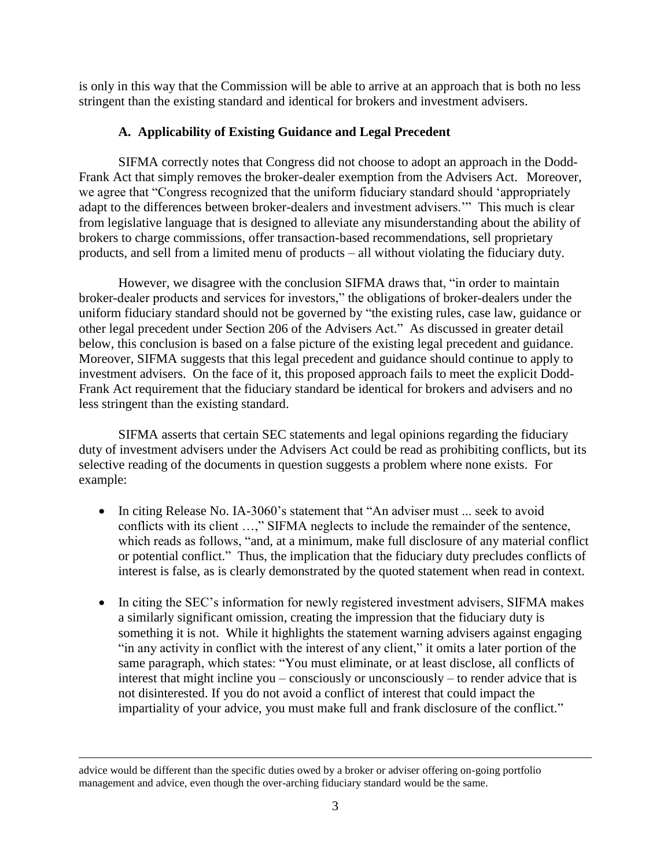is only in this way that the Commission will be able to arrive at an approach that is both no less stringent than the existing standard and identical for brokers and investment advisers.

## **A. Applicability of Existing Guidance and Legal Precedent**

SIFMA correctly notes that Congress did not choose to adopt an approach in the Dodd-Frank Act that simply removes the broker-dealer exemption from the Advisers Act. Moreover, we agree that "Congress recognized that the uniform fiduciary standard should 'appropriately adapt to the differences between broker-dealers and investment advisers.'" This much is clear from legislative language that is designed to alleviate any misunderstanding about the ability of brokers to charge commissions, offer transaction-based recommendations, sell proprietary products, and sell from a limited menu of products – all without violating the fiduciary duty.

However, we disagree with the conclusion SIFMA draws that, "in order to maintain broker-dealer products and services for investors," the obligations of broker-dealers under the uniform fiduciary standard should not be governed by "the existing rules, case law, guidance or other legal precedent under Section 206 of the Advisers Act." As discussed in greater detail below, this conclusion is based on a false picture of the existing legal precedent and guidance. Moreover, SIFMA suggests that this legal precedent and guidance should continue to apply to investment advisers. On the face of it, this proposed approach fails to meet the explicit Dodd-Frank Act requirement that the fiduciary standard be identical for brokers and advisers and no less stringent than the existing standard.

SIFMA asserts that certain SEC statements and legal opinions regarding the fiduciary duty of investment advisers under the Advisers Act could be read as prohibiting conflicts, but its selective reading of the documents in question suggests a problem where none exists. For example:

- In citing Release No. IA-3060's statement that "An adviser must ... seek to avoid conflicts with its client …," SIFMA neglects to include the remainder of the sentence, which reads as follows, "and, at a minimum, make full disclosure of any material conflict or potential conflict." Thus, the implication that the fiduciary duty precludes conflicts of interest is false, as is clearly demonstrated by the quoted statement when read in context.
- In citing the SEC's information for newly registered investment advisers, SIFMA makes a similarly significant omission, creating the impression that the fiduciary duty is something it is not. While it highlights the statement warning advisers against engaging "in any activity in conflict with the interest of any client," it omits a later portion of the same paragraph, which states: "You must eliminate, or at least disclose, all conflicts of interest that might incline you – consciously or unconsciously – to render advice that is not disinterested. If you do not avoid a conflict of interest that could impact the impartiality of your advice, you must make full and frank disclosure of the conflict."

advice would be different than the specific duties owed by a broker or adviser offering on-going portfolio management and advice, even though the over-arching fiduciary standard would be the same.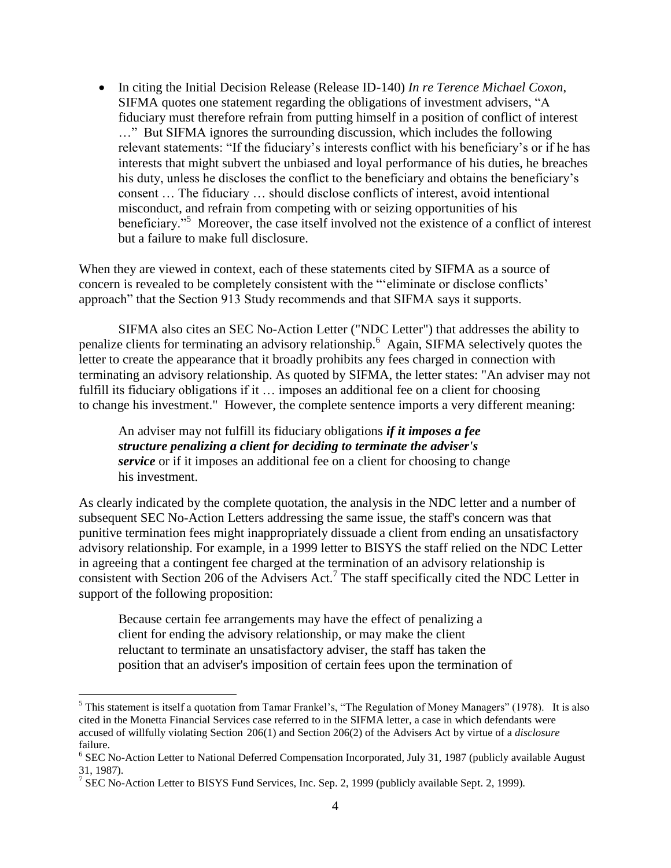In citing the Initial Decision Release (Release ID-140) *In re Terence Michael Coxon*, SIFMA quotes one statement regarding the obligations of investment advisers, "A fiduciary must therefore refrain from putting himself in a position of conflict of interest …" But SIFMA ignores the surrounding discussion, which includes the following relevant statements: "If the fiduciary's interests conflict with his beneficiary's or if he has interests that might subvert the unbiased and loyal performance of his duties, he breaches his duty, unless he discloses the conflict to the beneficiary and obtains the beneficiary's consent … The fiduciary … should disclose conflicts of interest, avoid intentional misconduct, and refrain from competing with or seizing opportunities of his beneficiary."<sup>5</sup> Moreover, the case itself involved not the existence of a conflict of interest but a failure to make full disclosure.

When they are viewed in context, each of these statements cited by SIFMA as a source of concern is revealed to be completely consistent with the "'eliminate or disclose conflicts' approach" that the Section 913 Study recommends and that SIFMA says it supports.

SIFMA also cites an SEC No-Action Letter ("NDC Letter") that addresses the ability to penalize clients for terminating an advisory relationship.<sup>6</sup> Again, SIFMA selectively quotes the letter to create the appearance that it broadly prohibits any fees charged in connection with terminating an advisory relationship. As quoted by SIFMA, the letter states: "An adviser may not fulfill its fiduciary obligations if it ... imposes an additional fee on a client for choosing to change his investment." However, the complete sentence imports a very different meaning:

An adviser may not fulfill its fiduciary obligations *if it imposes a fee structure penalizing a client for deciding to terminate the adviser's service* or if it imposes an additional fee on a client for choosing to change his investment.

As clearly indicated by the complete quotation, the analysis in the NDC letter and a number of subsequent SEC No-Action Letters addressing the same issue, the staff's concern was that punitive termination fees might inappropriately dissuade a client from ending an unsatisfactory advisory relationship. For example, in a 1999 letter to BISYS the staff relied on the NDC Letter in agreeing that a contingent fee charged at the termination of an advisory relationship is consistent with Section 206 of the Advisers Act.<sup>7</sup> The staff specifically cited the NDC Letter in support of the following proposition:

Because certain fee arrangements may have the effect of penalizing a client for ending the advisory relationship, or may make the client reluctant to terminate an unsatisfactory adviser, the staff has taken the position that an adviser's imposition of certain fees upon the termination of

 $<sup>5</sup>$  This statement is itself a quotation from Tamar Frankel's, "The Regulation of Money Managers" (1978). It is also</sup> cited in the Monetta Financial Services case referred to in the SIFMA letter, a case in which defendants were accused of willfully violating Section 206(1) and Section 206(2) of the Advisers Act by virtue of a *disclosure* failure.

<sup>&</sup>lt;sup>6</sup> SEC No-Action Letter to National Deferred Compensation Incorporated, July 31, 1987 (publicly available August 31, 1987).

<sup>&</sup>lt;sup>7</sup> SEC No-Action Letter to BISYS Fund Services, Inc. Sep. 2, 1999 (publicly available Sept. 2, 1999).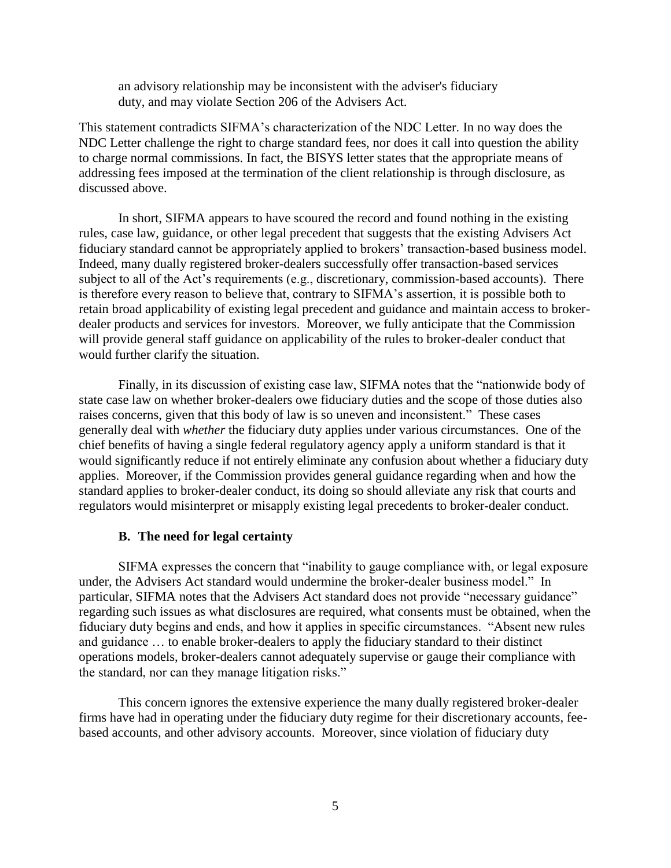an advisory relationship may be inconsistent with the adviser's fiduciary duty, and may violate Section 206 of the Advisers Act.

This statement contradicts SIFMA's characterization of the NDC Letter. In no way does the NDC Letter challenge the right to charge standard fees, nor does it call into question the ability to charge normal commissions. In fact, the BISYS letter states that the appropriate means of addressing fees imposed at the termination of the client relationship is through disclosure, as discussed above.

In short, SIFMA appears to have scoured the record and found nothing in the existing rules, case law, guidance, or other legal precedent that suggests that the existing Advisers Act fiduciary standard cannot be appropriately applied to brokers' transaction-based business model. Indeed, many dually registered broker-dealers successfully offer transaction-based services subject to all of the Act's requirements (e.g., discretionary, commission-based accounts). There is therefore every reason to believe that, contrary to SIFMA's assertion, it is possible both to retain broad applicability of existing legal precedent and guidance and maintain access to brokerdealer products and services for investors. Moreover, we fully anticipate that the Commission will provide general staff guidance on applicability of the rules to broker-dealer conduct that would further clarify the situation.

Finally, in its discussion of existing case law, SIFMA notes that the "nationwide body of state case law on whether broker-dealers owe fiduciary duties and the scope of those duties also raises concerns, given that this body of law is so uneven and inconsistent." These cases generally deal with *whether* the fiduciary duty applies under various circumstances. One of the chief benefits of having a single federal regulatory agency apply a uniform standard is that it would significantly reduce if not entirely eliminate any confusion about whether a fiduciary duty applies. Moreover, if the Commission provides general guidance regarding when and how the standard applies to broker-dealer conduct, its doing so should alleviate any risk that courts and regulators would misinterpret or misapply existing legal precedents to broker-dealer conduct.

### **B. The need for legal certainty**

SIFMA expresses the concern that "inability to gauge compliance with, or legal exposure under, the Advisers Act standard would undermine the broker-dealer business model." In particular, SIFMA notes that the Advisers Act standard does not provide "necessary guidance" regarding such issues as what disclosures are required, what consents must be obtained, when the fiduciary duty begins and ends, and how it applies in specific circumstances. "Absent new rules and guidance … to enable broker-dealers to apply the fiduciary standard to their distinct operations models, broker-dealers cannot adequately supervise or gauge their compliance with the standard, nor can they manage litigation risks."

This concern ignores the extensive experience the many dually registered broker-dealer firms have had in operating under the fiduciary duty regime for their discretionary accounts, feebased accounts, and other advisory accounts. Moreover, since violation of fiduciary duty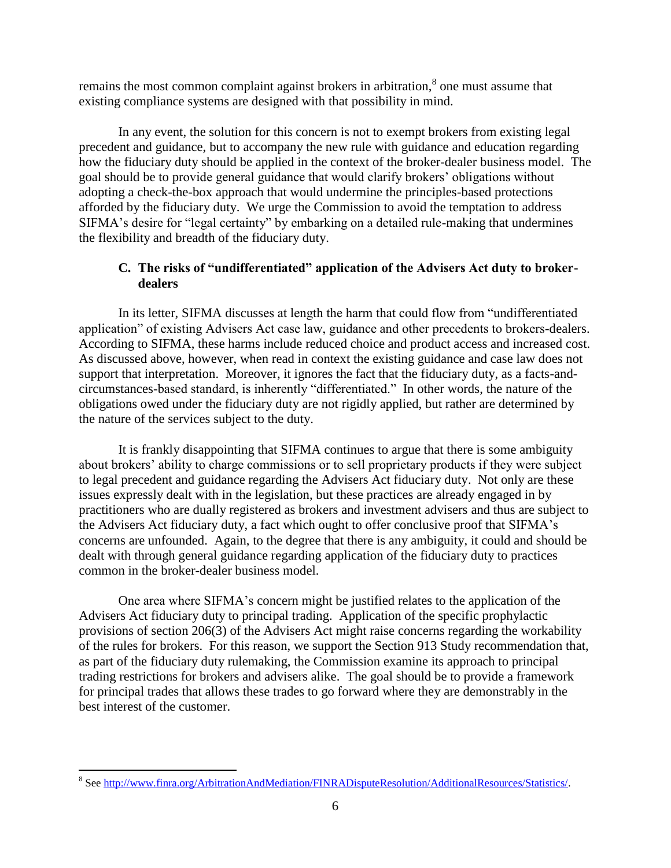remains the most common complaint against brokers in arbitration, $\delta$  one must assume that existing compliance systems are designed with that possibility in mind.

In any event, the solution for this concern is not to exempt brokers from existing legal precedent and guidance, but to accompany the new rule with guidance and education regarding how the fiduciary duty should be applied in the context of the broker-dealer business model. The goal should be to provide general guidance that would clarify brokers' obligations without adopting a check-the-box approach that would undermine the principles-based protections afforded by the fiduciary duty. We urge the Commission to avoid the temptation to address SIFMA's desire for "legal certainty" by embarking on a detailed rule-making that undermines the flexibility and breadth of the fiduciary duty.

## **C. The risks of "undifferentiated" application of the Advisers Act duty to brokerdealers**

In its letter, SIFMA discusses at length the harm that could flow from "undifferentiated application" of existing Advisers Act case law, guidance and other precedents to brokers-dealers. According to SIFMA, these harms include reduced choice and product access and increased cost. As discussed above, however, when read in context the existing guidance and case law does not support that interpretation. Moreover, it ignores the fact that the fiduciary duty, as a facts-andcircumstances-based standard, is inherently "differentiated." In other words, the nature of the obligations owed under the fiduciary duty are not rigidly applied, but rather are determined by the nature of the services subject to the duty.

It is frankly disappointing that SIFMA continues to argue that there is some ambiguity about brokers' ability to charge commissions or to sell proprietary products if they were subject to legal precedent and guidance regarding the Advisers Act fiduciary duty. Not only are these issues expressly dealt with in the legislation, but these practices are already engaged in by practitioners who are dually registered as brokers and investment advisers and thus are subject to the Advisers Act fiduciary duty, a fact which ought to offer conclusive proof that SIFMA's concerns are unfounded. Again, to the degree that there is any ambiguity, it could and should be dealt with through general guidance regarding application of the fiduciary duty to practices common in the broker-dealer business model.

One area where SIFMA's concern might be justified relates to the application of the Advisers Act fiduciary duty to principal trading. Application of the specific prophylactic provisions of section 206(3) of the Advisers Act might raise concerns regarding the workability of the rules for brokers. For this reason, we support the Section 913 Study recommendation that, as part of the fiduciary duty rulemaking, the Commission examine its approach to principal trading restrictions for brokers and advisers alike. The goal should be to provide a framework for principal trades that allows these trades to go forward where they are demonstrably in the best interest of the customer.

<sup>&</sup>lt;sup>8</sup> Se[e http://www.finra.org/ArbitrationAndMediation/FINRADisputeResolution/AdditionalResources/Statistics/.](http://www.finra.org/ArbitrationAndMediation/FINRADisputeResolution/AdditionalResources/Statistics/)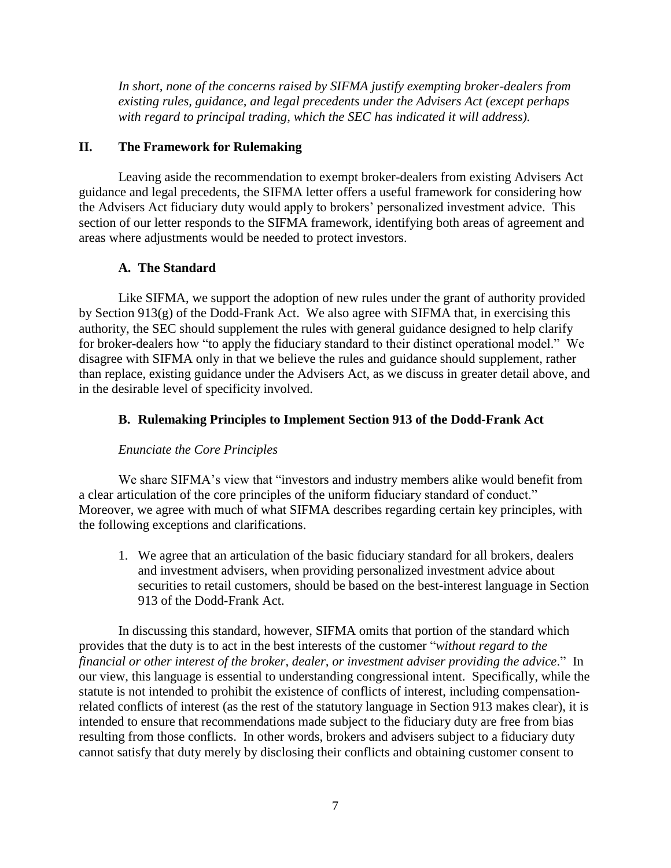*In short, none of the concerns raised by SIFMA justify exempting broker-dealers from existing rules, guidance, and legal precedents under the Advisers Act (except perhaps with regard to principal trading, which the SEC has indicated it will address).* 

## **II. The Framework for Rulemaking**

Leaving aside the recommendation to exempt broker-dealers from existing Advisers Act guidance and legal precedents, the SIFMA letter offers a useful framework for considering how the Advisers Act fiduciary duty would apply to brokers' personalized investment advice. This section of our letter responds to the SIFMA framework, identifying both areas of agreement and areas where adjustments would be needed to protect investors.

## **A. The Standard**

Like SIFMA, we support the adoption of new rules under the grant of authority provided by Section 913(g) of the Dodd-Frank Act. We also agree with SIFMA that, in exercising this authority, the SEC should supplement the rules with general guidance designed to help clarify for broker-dealers how "to apply the fiduciary standard to their distinct operational model." We disagree with SIFMA only in that we believe the rules and guidance should supplement, rather than replace, existing guidance under the Advisers Act, as we discuss in greater detail above, and in the desirable level of specificity involved.

## **B. Rulemaking Principles to Implement Section 913 of the Dodd-Frank Act**

## *Enunciate the Core Principles*

We share SIFMA's view that "investors and industry members alike would benefit from a clear articulation of the core principles of the uniform fiduciary standard of conduct." Moreover, we agree with much of what SIFMA describes regarding certain key principles, with the following exceptions and clarifications.

1. We agree that an articulation of the basic fiduciary standard for all brokers, dealers and investment advisers, when providing personalized investment advice about securities to retail customers, should be based on the best-interest language in Section 913 of the Dodd-Frank Act.

In discussing this standard, however, SIFMA omits that portion of the standard which provides that the duty is to act in the best interests of the customer "*without regard to the financial or other interest of the broker, dealer, or investment adviser providing the advice*." In our view, this language is essential to understanding congressional intent. Specifically, while the statute is not intended to prohibit the existence of conflicts of interest, including compensationrelated conflicts of interest (as the rest of the statutory language in Section 913 makes clear), it is intended to ensure that recommendations made subject to the fiduciary duty are free from bias resulting from those conflicts. In other words, brokers and advisers subject to a fiduciary duty cannot satisfy that duty merely by disclosing their conflicts and obtaining customer consent to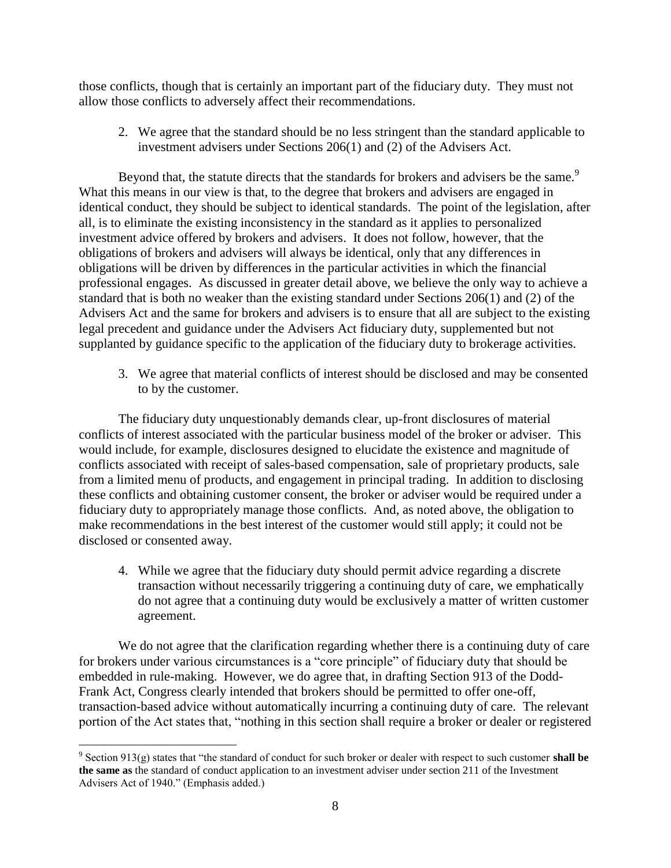those conflicts, though that is certainly an important part of the fiduciary duty. They must not allow those conflicts to adversely affect their recommendations.

2. We agree that the standard should be no less stringent than the standard applicable to investment advisers under Sections 206(1) and (2) of the Advisers Act.

Beyond that, the statute directs that the standards for brokers and advisers be the same.<sup>9</sup> What this means in our view is that, to the degree that brokers and advisers are engaged in identical conduct, they should be subject to identical standards. The point of the legislation, after all, is to eliminate the existing inconsistency in the standard as it applies to personalized investment advice offered by brokers and advisers. It does not follow, however, that the obligations of brokers and advisers will always be identical, only that any differences in obligations will be driven by differences in the particular activities in which the financial professional engages. As discussed in greater detail above, we believe the only way to achieve a standard that is both no weaker than the existing standard under Sections 206(1) and (2) of the Advisers Act and the same for brokers and advisers is to ensure that all are subject to the existing legal precedent and guidance under the Advisers Act fiduciary duty, supplemented but not supplanted by guidance specific to the application of the fiduciary duty to brokerage activities.

3. We agree that material conflicts of interest should be disclosed and may be consented to by the customer.

The fiduciary duty unquestionably demands clear, up-front disclosures of material conflicts of interest associated with the particular business model of the broker or adviser. This would include, for example, disclosures designed to elucidate the existence and magnitude of conflicts associated with receipt of sales-based compensation, sale of proprietary products, sale from a limited menu of products, and engagement in principal trading. In addition to disclosing these conflicts and obtaining customer consent, the broker or adviser would be required under a fiduciary duty to appropriately manage those conflicts. And, as noted above, the obligation to make recommendations in the best interest of the customer would still apply; it could not be disclosed or consented away.

4. While we agree that the fiduciary duty should permit advice regarding a discrete transaction without necessarily triggering a continuing duty of care, we emphatically do not agree that a continuing duty would be exclusively a matter of written customer agreement.

We do not agree that the clarification regarding whether there is a continuing duty of care for brokers under various circumstances is a "core principle" of fiduciary duty that should be embedded in rule-making. However, we do agree that, in drafting Section 913 of the Dodd-Frank Act, Congress clearly intended that brokers should be permitted to offer one-off, transaction-based advice without automatically incurring a continuing duty of care. The relevant portion of the Act states that, "nothing in this section shall require a broker or dealer or registered

 $\overline{a}$ 9 Section 913(g) states that "the standard of conduct for such broker or dealer with respect to such customer **shall be the same as** the standard of conduct application to an investment adviser under section 211 of the Investment Advisers Act of 1940." (Emphasis added.)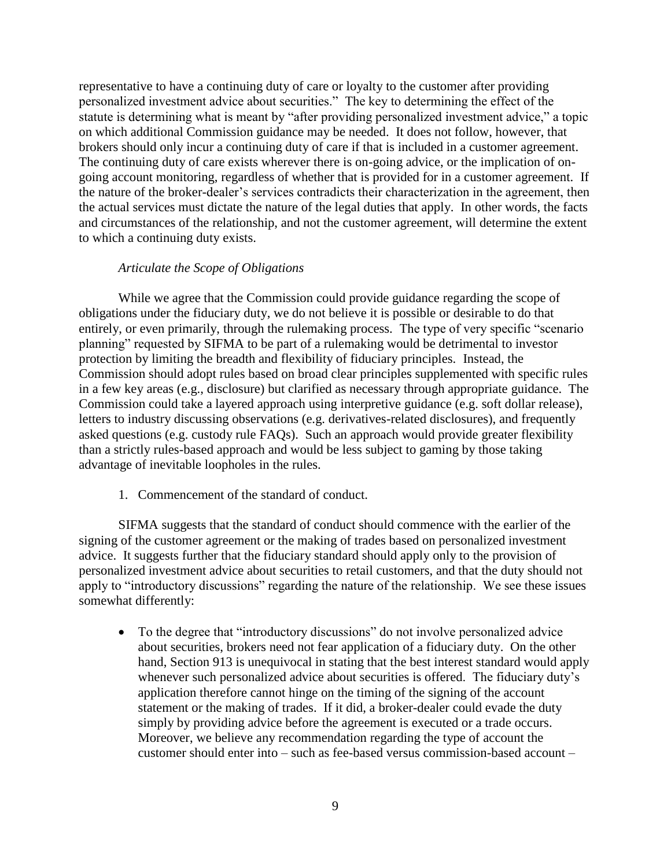representative to have a continuing duty of care or loyalty to the customer after providing personalized investment advice about securities." The key to determining the effect of the statute is determining what is meant by "after providing personalized investment advice," a topic on which additional Commission guidance may be needed. It does not follow, however, that brokers should only incur a continuing duty of care if that is included in a customer agreement. The continuing duty of care exists wherever there is on-going advice, or the implication of ongoing account monitoring, regardless of whether that is provided for in a customer agreement. If the nature of the broker-dealer's services contradicts their characterization in the agreement, then the actual services must dictate the nature of the legal duties that apply. In other words, the facts and circumstances of the relationship, and not the customer agreement, will determine the extent to which a continuing duty exists.

### *Articulate the Scope of Obligations*

While we agree that the Commission could provide guidance regarding the scope of obligations under the fiduciary duty, we do not believe it is possible or desirable to do that entirely, or even primarily, through the rulemaking process. The type of very specific "scenario planning" requested by SIFMA to be part of a rulemaking would be detrimental to investor protection by limiting the breadth and flexibility of fiduciary principles. Instead, the Commission should adopt rules based on broad clear principles supplemented with specific rules in a few key areas (e.g., disclosure) but clarified as necessary through appropriate guidance. The Commission could take a layered approach using interpretive guidance (e.g. soft dollar release), letters to industry discussing observations (e.g. derivatives-related disclosures), and frequently asked questions (e.g. custody rule FAQs). Such an approach would provide greater flexibility than a strictly rules-based approach and would be less subject to gaming by those taking advantage of inevitable loopholes in the rules.

1. Commencement of the standard of conduct.

SIFMA suggests that the standard of conduct should commence with the earlier of the signing of the customer agreement or the making of trades based on personalized investment advice. It suggests further that the fiduciary standard should apply only to the provision of personalized investment advice about securities to retail customers, and that the duty should not apply to "introductory discussions" regarding the nature of the relationship. We see these issues somewhat differently:

• To the degree that "introductory discussions" do not involve personalized advice about securities, brokers need not fear application of a fiduciary duty. On the other hand, Section 913 is unequivocal in stating that the best interest standard would apply whenever such personalized advice about securities is offered. The fiduciary duty's application therefore cannot hinge on the timing of the signing of the account statement or the making of trades. If it did, a broker-dealer could evade the duty simply by providing advice before the agreement is executed or a trade occurs. Moreover, we believe any recommendation regarding the type of account the customer should enter into – such as fee-based versus commission-based account –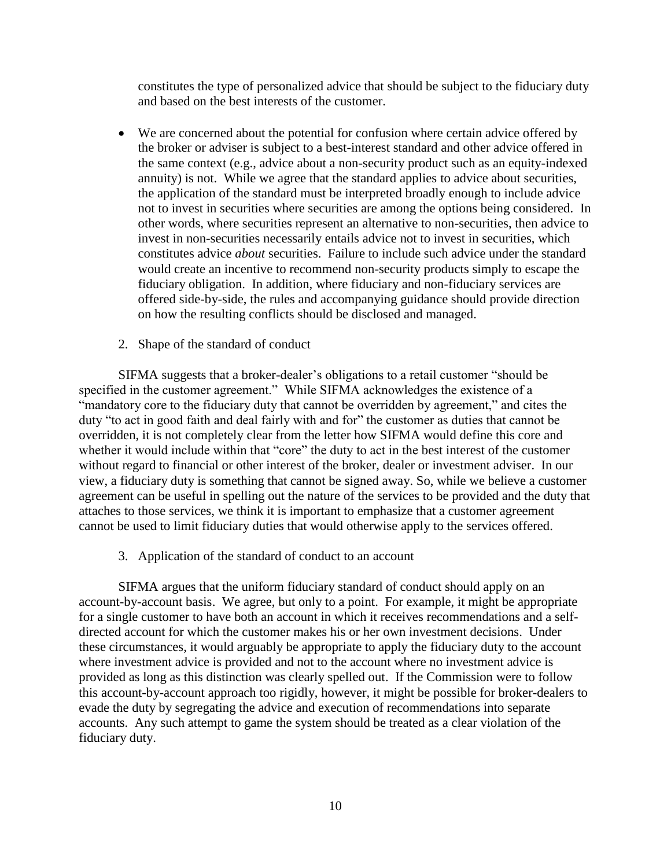constitutes the type of personalized advice that should be subject to the fiduciary duty and based on the best interests of the customer.

- We are concerned about the potential for confusion where certain advice offered by the broker or adviser is subject to a best-interest standard and other advice offered in the same context (e.g., advice about a non-security product such as an equity-indexed annuity) is not. While we agree that the standard applies to advice about securities, the application of the standard must be interpreted broadly enough to include advice not to invest in securities where securities are among the options being considered. In other words, where securities represent an alternative to non-securities, then advice to invest in non-securities necessarily entails advice not to invest in securities, which constitutes advice *about* securities. Failure to include such advice under the standard would create an incentive to recommend non-security products simply to escape the fiduciary obligation. In addition, where fiduciary and non-fiduciary services are offered side-by-side, the rules and accompanying guidance should provide direction on how the resulting conflicts should be disclosed and managed.
- 2. Shape of the standard of conduct

SIFMA suggests that a broker-dealer's obligations to a retail customer "should be specified in the customer agreement." While SIFMA acknowledges the existence of a "mandatory core to the fiduciary duty that cannot be overridden by agreement," and cites the duty "to act in good faith and deal fairly with and for" the customer as duties that cannot be overridden, it is not completely clear from the letter how SIFMA would define this core and whether it would include within that "core" the duty to act in the best interest of the customer without regard to financial or other interest of the broker, dealer or investment adviser. In our view, a fiduciary duty is something that cannot be signed away. So, while we believe a customer agreement can be useful in spelling out the nature of the services to be provided and the duty that attaches to those services, we think it is important to emphasize that a customer agreement cannot be used to limit fiduciary duties that would otherwise apply to the services offered.

3. Application of the standard of conduct to an account

SIFMA argues that the uniform fiduciary standard of conduct should apply on an account-by-account basis. We agree, but only to a point. For example, it might be appropriate for a single customer to have both an account in which it receives recommendations and a selfdirected account for which the customer makes his or her own investment decisions. Under these circumstances, it would arguably be appropriate to apply the fiduciary duty to the account where investment advice is provided and not to the account where no investment advice is provided as long as this distinction was clearly spelled out. If the Commission were to follow this account-by-account approach too rigidly, however, it might be possible for broker-dealers to evade the duty by segregating the advice and execution of recommendations into separate accounts. Any such attempt to game the system should be treated as a clear violation of the fiduciary duty.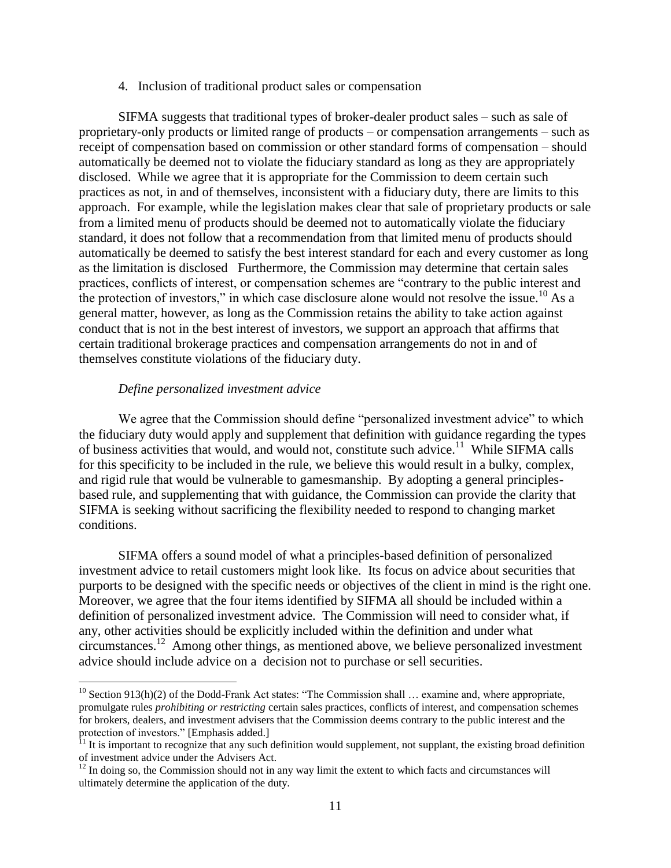#### 4. Inclusion of traditional product sales or compensation

SIFMA suggests that traditional types of broker-dealer product sales – such as sale of proprietary-only products or limited range of products – or compensation arrangements – such as receipt of compensation based on commission or other standard forms of compensation – should automatically be deemed not to violate the fiduciary standard as long as they are appropriately disclosed. While we agree that it is appropriate for the Commission to deem certain such practices as not, in and of themselves, inconsistent with a fiduciary duty, there are limits to this approach. For example, while the legislation makes clear that sale of proprietary products or sale from a limited menu of products should be deemed not to automatically violate the fiduciary standard, it does not follow that a recommendation from that limited menu of products should automatically be deemed to satisfy the best interest standard for each and every customer as long as the limitation is disclosed Furthermore, the Commission may determine that certain sales practices, conflicts of interest, or compensation schemes are "contrary to the public interest and the protection of investors," in which case disclosure alone would not resolve the issue.<sup>10</sup> As a general matter, however, as long as the Commission retains the ability to take action against conduct that is not in the best interest of investors, we support an approach that affirms that certain traditional brokerage practices and compensation arrangements do not in and of themselves constitute violations of the fiduciary duty.

### *Define personalized investment advice*

 $\overline{a}$ 

We agree that the Commission should define "personalized investment advice" to which the fiduciary duty would apply and supplement that definition with guidance regarding the types of business activities that would, and would not, constitute such advice.<sup>11</sup> While SIFMA calls for this specificity to be included in the rule, we believe this would result in a bulky, complex, and rigid rule that would be vulnerable to gamesmanship. By adopting a general principlesbased rule, and supplementing that with guidance, the Commission can provide the clarity that SIFMA is seeking without sacrificing the flexibility needed to respond to changing market conditions.

SIFMA offers a sound model of what a principles-based definition of personalized investment advice to retail customers might look like. Its focus on advice about securities that purports to be designed with the specific needs or objectives of the client in mind is the right one. Moreover, we agree that the four items identified by SIFMA all should be included within a definition of personalized investment advice. The Commission will need to consider what, if any, other activities should be explicitly included within the definition and under what circumstances.<sup>12</sup> Among other things, as mentioned above, we believe personalized investment advice should include advice on a decision not to purchase or sell securities.

 $10$  Section 913(h)(2) of the Dodd-Frank Act states: "The Commission shall ... examine and, where appropriate, promulgate rules *prohibiting or restricting* certain sales practices, conflicts of interest, and compensation schemes for brokers, dealers, and investment advisers that the Commission deems contrary to the public interest and the protection of investors." [Emphasis added.]

 $11$  It is important to recognize that any such definition would supplement, not supplant, the existing broad definition of investment advice under the Advisers Act.

 $12$  In doing so, the Commission should not in any way limit the extent to which facts and circumstances will ultimately determine the application of the duty.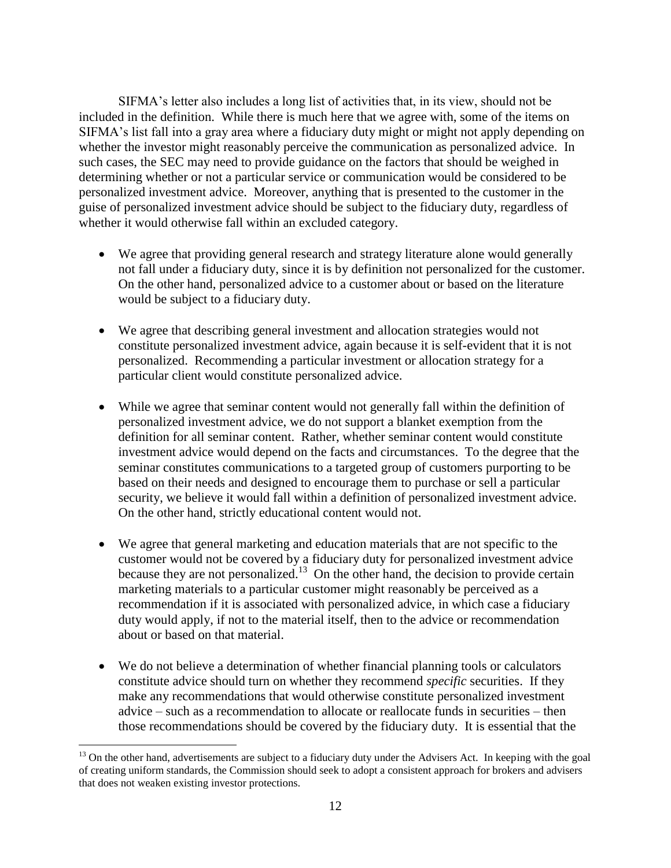SIFMA's letter also includes a long list of activities that, in its view, should not be included in the definition. While there is much here that we agree with, some of the items on SIFMA's list fall into a gray area where a fiduciary duty might or might not apply depending on whether the investor might reasonably perceive the communication as personalized advice. In such cases, the SEC may need to provide guidance on the factors that should be weighed in determining whether or not a particular service or communication would be considered to be personalized investment advice. Moreover, anything that is presented to the customer in the guise of personalized investment advice should be subject to the fiduciary duty, regardless of whether it would otherwise fall within an excluded category.

- We agree that providing general research and strategy literature alone would generally not fall under a fiduciary duty, since it is by definition not personalized for the customer. On the other hand, personalized advice to a customer about or based on the literature would be subject to a fiduciary duty.
- We agree that describing general investment and allocation strategies would not constitute personalized investment advice, again because it is self-evident that it is not personalized. Recommending a particular investment or allocation strategy for a particular client would constitute personalized advice.
- While we agree that seminar content would not generally fall within the definition of personalized investment advice, we do not support a blanket exemption from the definition for all seminar content. Rather, whether seminar content would constitute investment advice would depend on the facts and circumstances. To the degree that the seminar constitutes communications to a targeted group of customers purporting to be based on their needs and designed to encourage them to purchase or sell a particular security, we believe it would fall within a definition of personalized investment advice. On the other hand, strictly educational content would not.
- We agree that general marketing and education materials that are not specific to the customer would not be covered by a fiduciary duty for personalized investment advice because they are not personalized.<sup>13</sup> On the other hand, the decision to provide certain marketing materials to a particular customer might reasonably be perceived as a recommendation if it is associated with personalized advice, in which case a fiduciary duty would apply, if not to the material itself, then to the advice or recommendation about or based on that material.
- We do not believe a determination of whether financial planning tools or calculators constitute advice should turn on whether they recommend *specific* securities. If they make any recommendations that would otherwise constitute personalized investment advice – such as a recommendation to allocate or reallocate funds in securities – then those recommendations should be covered by the fiduciary duty. It is essential that the

<sup>&</sup>lt;sup>13</sup> On the other hand, advertisements are subject to a fiduciary duty under the Advisers Act. In keeping with the goal of creating uniform standards, the Commission should seek to adopt a consistent approach for brokers and advisers that does not weaken existing investor protections.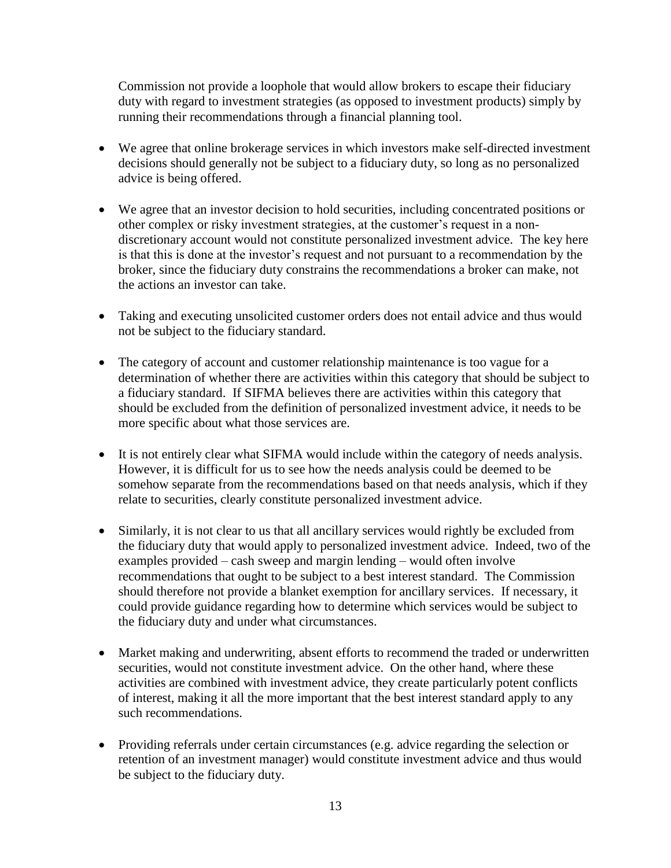Commission not provide a loophole that would allow brokers to escape their fiduciary duty with regard to investment strategies (as opposed to investment products) simply by running their recommendations through a financial planning tool.

- We agree that online brokerage services in which investors make self-directed investment decisions should generally not be subject to a fiduciary duty, so long as no personalized advice is being offered.
- We agree that an investor decision to hold securities, including concentrated positions or other complex or risky investment strategies, at the customer's request in a nondiscretionary account would not constitute personalized investment advice. The key here is that this is done at the investor's request and not pursuant to a recommendation by the broker, since the fiduciary duty constrains the recommendations a broker can make, not the actions an investor can take.
- Taking and executing unsolicited customer orders does not entail advice and thus would not be subject to the fiduciary standard.
- The category of account and customer relationship maintenance is too vague for a determination of whether there are activities within this category that should be subject to a fiduciary standard. If SIFMA believes there are activities within this category that should be excluded from the definition of personalized investment advice, it needs to be more specific about what those services are.
- It is not entirely clear what SIFMA would include within the category of needs analysis. However, it is difficult for us to see how the needs analysis could be deemed to be somehow separate from the recommendations based on that needs analysis, which if they relate to securities, clearly constitute personalized investment advice.
- Similarly, it is not clear to us that all ancillary services would rightly be excluded from the fiduciary duty that would apply to personalized investment advice. Indeed, two of the examples provided – cash sweep and margin lending – would often involve recommendations that ought to be subject to a best interest standard. The Commission should therefore not provide a blanket exemption for ancillary services. If necessary, it could provide guidance regarding how to determine which services would be subject to the fiduciary duty and under what circumstances.
- Market making and underwriting, absent efforts to recommend the traded or underwritten securities, would not constitute investment advice. On the other hand, where these activities are combined with investment advice, they create particularly potent conflicts of interest, making it all the more important that the best interest standard apply to any such recommendations.
- Providing referrals under certain circumstances (e.g. advice regarding the selection or retention of an investment manager) would constitute investment advice and thus would be subject to the fiduciary duty.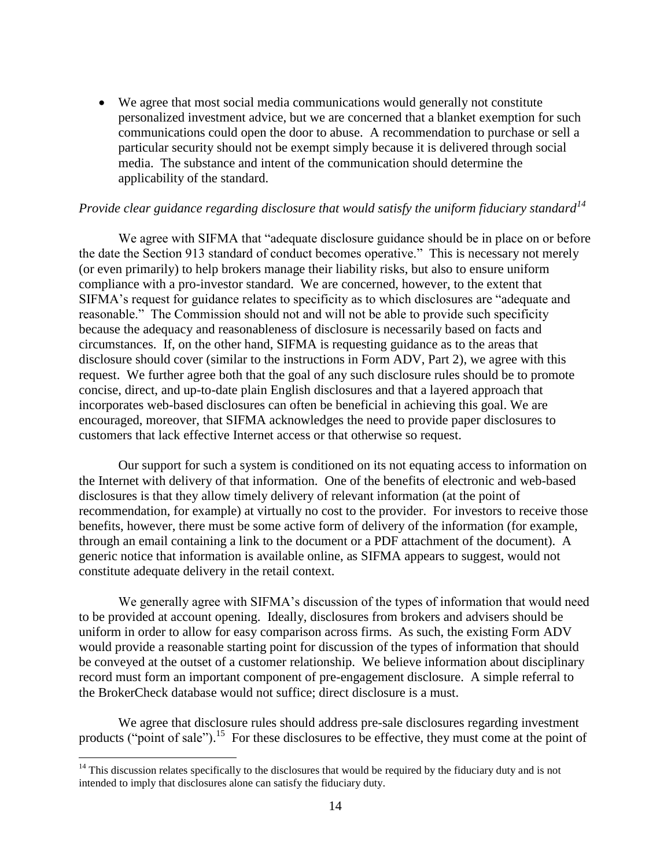We agree that most social media communications would generally not constitute personalized investment advice, but we are concerned that a blanket exemption for such communications could open the door to abuse. A recommendation to purchase or sell a particular security should not be exempt simply because it is delivered through social media. The substance and intent of the communication should determine the applicability of the standard.

# *Provide clear guidance regarding disclosure that would satisfy the uniform fiduciary standard<sup>14</sup>*

We agree with SIFMA that "adequate disclosure guidance should be in place on or before the date the Section 913 standard of conduct becomes operative." This is necessary not merely (or even primarily) to help brokers manage their liability risks, but also to ensure uniform compliance with a pro-investor standard. We are concerned, however, to the extent that SIFMA's request for guidance relates to specificity as to which disclosures are "adequate and reasonable." The Commission should not and will not be able to provide such specificity because the adequacy and reasonableness of disclosure is necessarily based on facts and circumstances. If, on the other hand, SIFMA is requesting guidance as to the areas that disclosure should cover (similar to the instructions in Form ADV, Part 2), we agree with this request. We further agree both that the goal of any such disclosure rules should be to promote concise, direct, and up-to-date plain English disclosures and that a layered approach that incorporates web-based disclosures can often be beneficial in achieving this goal. We are encouraged, moreover, that SIFMA acknowledges the need to provide paper disclosures to customers that lack effective Internet access or that otherwise so request.

Our support for such a system is conditioned on its not equating access to information on the Internet with delivery of that information. One of the benefits of electronic and web-based disclosures is that they allow timely delivery of relevant information (at the point of recommendation, for example) at virtually no cost to the provider. For investors to receive those benefits, however, there must be some active form of delivery of the information (for example, through an email containing a link to the document or a PDF attachment of the document). A generic notice that information is available online, as SIFMA appears to suggest, would not constitute adequate delivery in the retail context.

We generally agree with SIFMA's discussion of the types of information that would need to be provided at account opening. Ideally, disclosures from brokers and advisers should be uniform in order to allow for easy comparison across firms. As such, the existing Form ADV would provide a reasonable starting point for discussion of the types of information that should be conveyed at the outset of a customer relationship. We believe information about disciplinary record must form an important component of pre-engagement disclosure. A simple referral to the BrokerCheck database would not suffice; direct disclosure is a must.

We agree that disclosure rules should address pre-sale disclosures regarding investment products ("point of sale").<sup>15</sup> For these disclosures to be effective, they must come at the point of

 $14$  This discussion relates specifically to the disclosures that would be required by the fiduciary duty and is not intended to imply that disclosures alone can satisfy the fiduciary duty.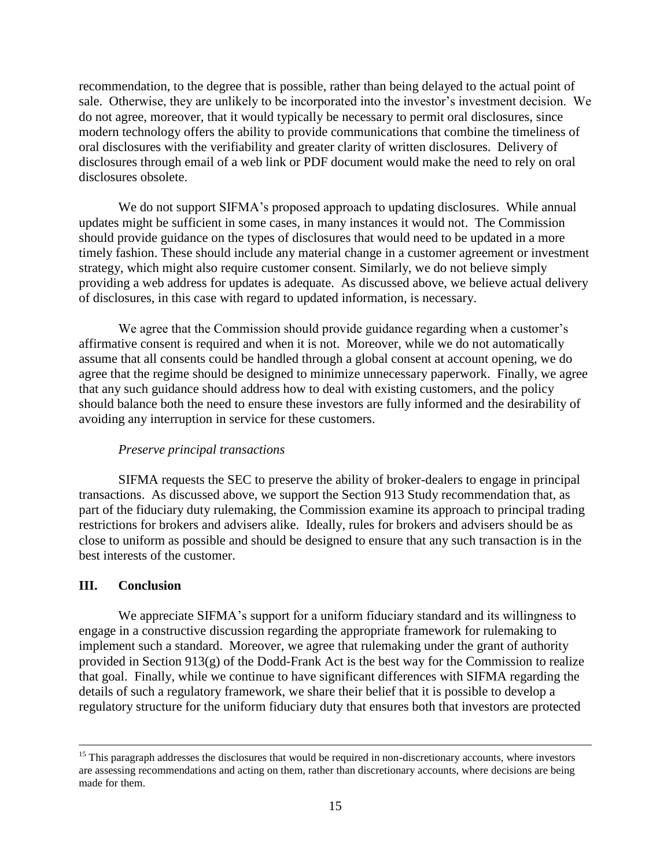recommendation, to the degree that is possible, rather than being delayed to the actual point of sale. Otherwise, they are unlikely to be incorporated into the investor's investment decision. We do not agree, moreover, that it would typically be necessary to permit oral disclosures, since modern technology offers the ability to provide communications that combine the timeliness of oral disclosures with the verifiability and greater clarity of written disclosures. Delivery of disclosures through email of a web link or PDF document would make the need to rely on oral disclosures obsolete.

We do not support SIFMA's proposed approach to updating disclosures. While annual updates might be sufficient in some cases, in many instances it would not. The Commission should provide guidance on the types of disclosures that would need to be updated in a more timely fashion. These should include any material change in a customer agreement or investment strategy, which might also require customer consent. Similarly, we do not believe simply providing a web address for updates is adequate. As discussed above, we believe actual delivery of disclosures, in this case with regard to updated information, is necessary.

We agree that the Commission should provide guidance regarding when a customer's affirmative consent is required and when it is not. Moreover, while we do not automatically assume that all consents could be handled through a global consent at account opening, we do agree that the regime should be designed to minimize unnecessary paperwork. Finally, we agree that any such guidance should address how to deal with existing customers, and the policy should balance both the need to ensure these investors are fully informed and the desirability of avoiding any interruption in service for these customers.

### *Preserve principal transactions*

SIFMA requests the SEC to preserve the ability of broker-dealers to engage in principal transactions. As discussed above, we support the Section 913 Study recommendation that, as part of the fiduciary duty rulemaking, the Commission examine its approach to principal trading restrictions for brokers and advisers alike. Ideally, rules for brokers and advisers should be as close to uniform as possible and should be designed to ensure that any such transaction is in the best interests of the customer.

### **III. Conclusion**

 $\overline{a}$ 

We appreciate SIFMA's support for a uniform fiduciary standard and its willingness to engage in a constructive discussion regarding the appropriate framework for rulemaking to implement such a standard. Moreover, we agree that rulemaking under the grant of authority provided in Section 913(g) of the Dodd-Frank Act is the best way for the Commission to realize that goal. Finally, while we continue to have significant differences with SIFMA regarding the details of such a regulatory framework, we share their belief that it is possible to develop a regulatory structure for the uniform fiduciary duty that ensures both that investors are protected

<sup>&</sup>lt;sup>15</sup> This paragraph addresses the disclosures that would be required in non-discretionary accounts, where investors are assessing recommendations and acting on them, rather than discretionary accounts, where decisions are being made for them.